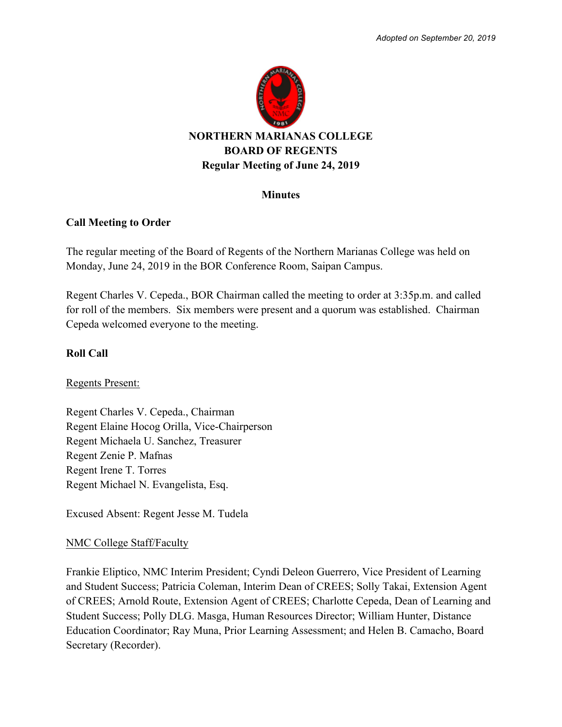

#### **Minutes**

### **Call Meeting to Order**

The regular meeting of the Board of Regents of the Northern Marianas College was held on Monday, June 24, 2019 in the BOR Conference Room, Saipan Campus.

Regent Charles V. Cepeda., BOR Chairman called the meeting to order at 3:35p.m. and called for roll of the members. Six members were present and a quorum was established. Chairman Cepeda welcomed everyone to the meeting.

# **Roll Call**

Regents Present:

Regent Charles V. Cepeda., Chairman Regent Elaine Hocog Orilla, Vice-Chairperson Regent Michaela U. Sanchez, Treasurer Regent Zenie P. Mafnas Regent Irene T. Torres Regent Michael N. Evangelista, Esq.

Excused Absent: Regent Jesse M. Tudela

#### NMC College Staff/Faculty

Frankie Eliptico, NMC Interim President; Cyndi Deleon Guerrero, Vice President of Learning and Student Success; Patricia Coleman, Interim Dean of CREES; Solly Takai, Extension Agent of CREES; Arnold Route, Extension Agent of CREES; Charlotte Cepeda, Dean of Learning and Student Success; Polly DLG. Masga, Human Resources Director; William Hunter, Distance Education Coordinator; Ray Muna, Prior Learning Assessment; and Helen B. Camacho, Board Secretary (Recorder).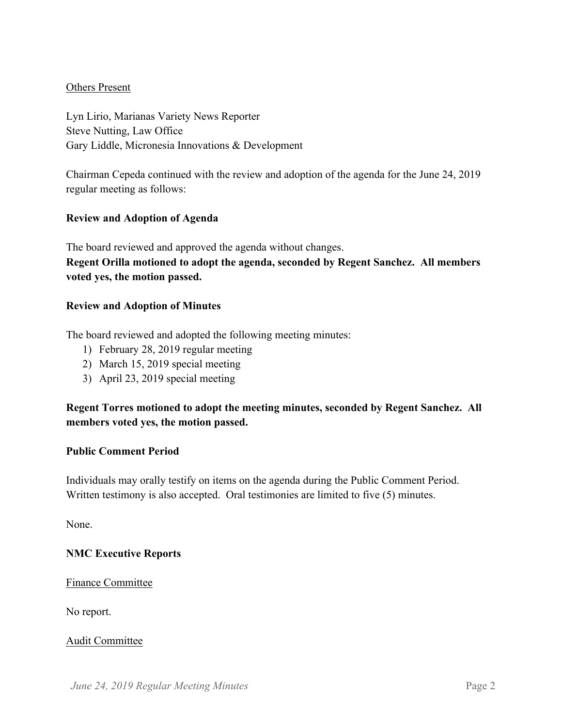### Others Present

Lyn Lirio, Marianas Variety News Reporter Steve Nutting, Law Office Gary Liddle, Micronesia Innovations & Development

Chairman Cepeda continued with the review and adoption of the agenda for the June 24, 2019 regular meeting as follows:

### **Review and Adoption of Agenda**

The board reviewed and approved the agenda without changes. **Regent Orilla motioned to adopt the agenda, seconded by Regent Sanchez. All members** 

### **voted yes, the motion passed.**

### **Review and Adoption of Minutes**

The board reviewed and adopted the following meeting minutes:

- 1) February 28, 2019 regular meeting
- 2) March 15, 2019 special meeting
- 3) April 23, 2019 special meeting

# **Regent Torres motioned to adopt the meeting minutes, seconded by Regent Sanchez. All members voted yes, the motion passed.**

#### **Public Comment Period**

Individuals may orally testify on items on the agenda during the Public Comment Period. Written testimony is also accepted. Oral testimonies are limited to five (5) minutes.

None.

# **NMC Executive Reports**

Finance Committee

No report.

#### Audit Committee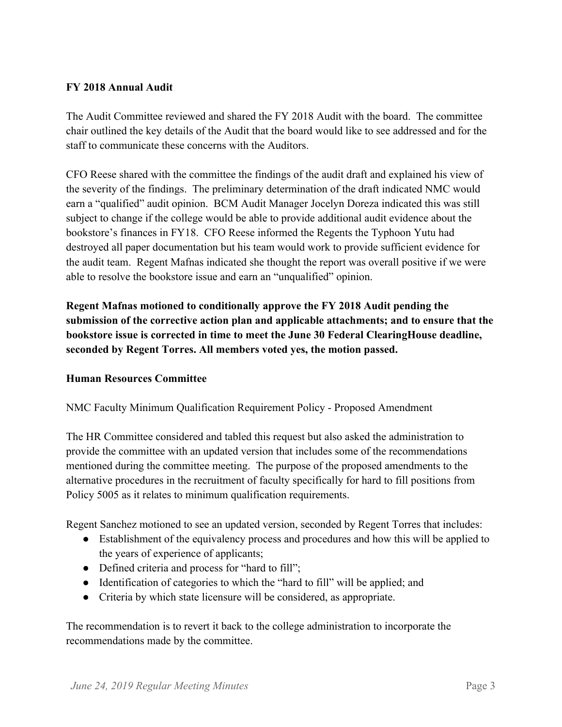# **FY 2018 Annual Audit**

The Audit Committee reviewed and shared the FY 2018 Audit with the board. The committee chair outlined the key details of the Audit that the board would like to see addressed and for the staff to communicate these concerns with the Auditors.

CFO Reese shared with the committee the findings of the audit draft and explained his view of the severity of the findings. The preliminary determination of the draft indicated NMC would earn a "qualified" audit opinion. BCM Audit Manager Jocelyn Doreza indicated this was still subject to change if the college would be able to provide additional audit evidence about the bookstore's finances in FY18. CFO Reese informed the Regents the Typhoon Yutu had destroyed all paper documentation but his team would work to provide sufficient evidence for the audit team. Regent Mafnas indicated she thought the report was overall positive if we were able to resolve the bookstore issue and earn an "unqualified" opinion.

**Regent Mafnas motioned to conditionally approve the FY 2018 Audit pending the submission of the corrective action plan and applicable attachments; and to ensure that the bookstore issue is corrected in time to meet the June 30 Federal ClearingHouse deadline, seconded by Regent Torres. All members voted yes, the motion passed.** 

# **Human Resources Committee**

NMC Faculty Minimum Qualification Requirement Policy - Proposed Amendment

The HR Committee considered and tabled this request but also asked the administration to provide the committee with an updated version that includes some of the recommendations mentioned during the committee meeting. The purpose of the proposed amendments to the alternative procedures in the recruitment of faculty specifically for hard to fill positions from Policy 5005 as it relates to minimum qualification requirements.

Regent Sanchez motioned to see an updated version, seconded by Regent Torres that includes:

- Establishment of the equivalency process and procedures and how this will be applied to the years of experience of applicants;
- Defined criteria and process for "hard to fill";
- Identification of categories to which the "hard to fill" will be applied; and
- Criteria by which state licensure will be considered, as appropriate.

The recommendation is to revert it back to the college administration to incorporate the recommendations made by the committee.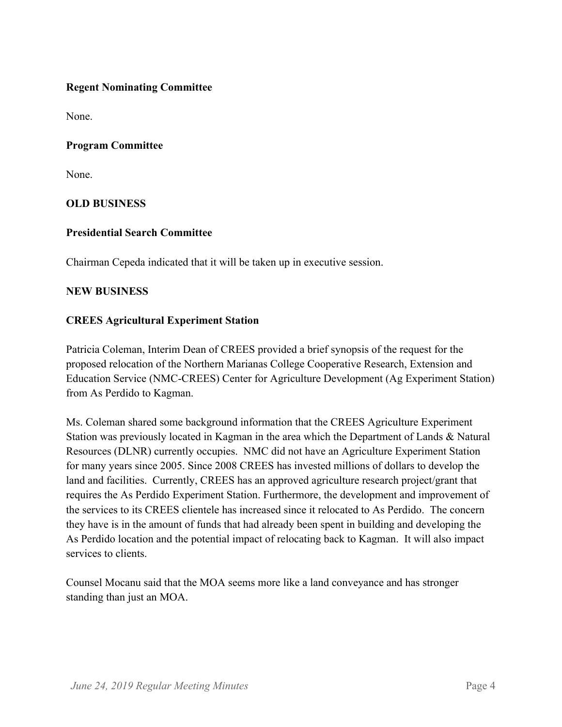# **Regent Nominating Committee**

None.

# **Program Committee**

None.

# **OLD BUSINESS**

# **Presidential Search Committee**

Chairman Cepeda indicated that it will be taken up in executive session.

### **NEW BUSINESS**

# **CREES Agricultural Experiment Station**

Patricia Coleman, Interim Dean of CREES provided a brief synopsis of the request for the proposed relocation of the Northern Marianas College Cooperative Research, Extension and Education Service (NMC-CREES) Center for Agriculture Development (Ag Experiment Station) from As Perdido to Kagman.

Ms. Coleman shared some background information that the CREES Agriculture Experiment Station was previously located in Kagman in the area which the Department of Lands & Natural Resources (DLNR) currently occupies. NMC did not have an Agriculture Experiment Station for many years since 2005. Since 2008 CREES has invested millions of dollars to develop the land and facilities. Currently, CREES has an approved agriculture research project/grant that requires the As Perdido Experiment Station. Furthermore, the development and improvement of the services to its CREES clientele has increased since it relocated to As Perdido. The concern they have is in the amount of funds that had already been spent in building and developing the As Perdido location and the potential impact of relocating back to Kagman. It will also impact services to clients.

Counsel Mocanu said that the MOA seems more like a land conveyance and has stronger standing than just an MOA.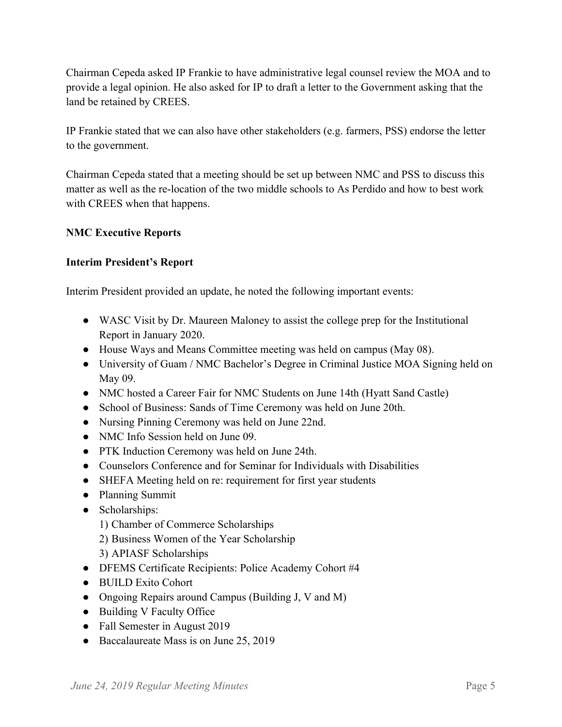Chairman Cepeda asked IP Frankie to have administrative legal counsel review the MOA and to provide a legal opinion. He also asked for IP to draft a letter to the Government asking that the land be retained by CREES.

IP Frankie stated that we can also have other stakeholders (e.g. farmers, PSS) endorse the letter to the government.

Chairman Cepeda stated that a meeting should be set up between NMC and PSS to discuss this matter as well as the re-location of the two middle schools to As Perdido and how to best work with CREES when that happens.

# **NMC Executive Reports**

# **Interim President's Report**

Interim President provided an update, he noted the following important events:

- WASC Visit by Dr. Maureen Maloney to assist the college prep for the Institutional Report in January 2020.
- House Ways and Means Committee meeting was held on campus (May 08).
- University of Guam / NMC Bachelor's Degree in Criminal Justice MOA Signing held on May 09.
- NMC hosted a Career Fair for NMC Students on June 14th (Hyatt Sand Castle)
- School of Business: Sands of Time Ceremony was held on June 20th.
- Nursing Pinning Ceremony was held on June 22nd.
- NMC Info Session held on June 09.
- PTK Induction Ceremony was held on June 24th.
- Counselors Conference and for Seminar for Individuals with Disabilities
- SHEFA Meeting held on re: requirement for first year students
- Planning Summit
- Scholarships:
	- 1) Chamber of Commerce Scholarships
	- 2) Business Women of the Year Scholarship
	- 3) APIASF Scholarships
- DFEMS Certificate Recipients: Police Academy Cohort #4
- BUILD Exito Cohort
- Ongoing Repairs around Campus (Building J, V and M)
- Building V Faculty Office
- Fall Semester in August 2019
- Baccalaureate Mass is on June 25, 2019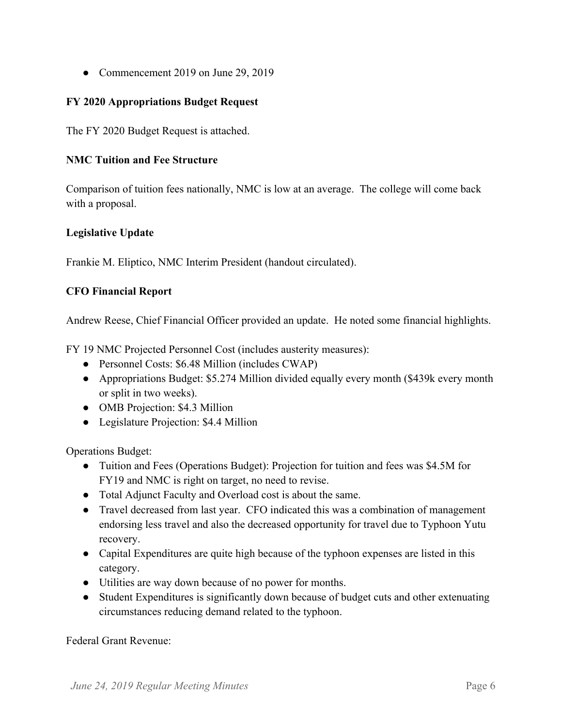• Commencement 2019 on June 29, 2019

# **FY 2020 Appropriations Budget Request**

The FY 2020 Budget Request is attached.

# **NMC Tuition and Fee Structure**

Comparison of tuition fees nationally, NMC is low at an average. The college will come back with a proposal.

# **Legislative Update**

Frankie M. Eliptico, NMC Interim President (handout circulated).

# **CFO Financial Report**

Andrew Reese, Chief Financial Officer provided an update. He noted some financial highlights.

FY 19 NMC Projected Personnel Cost (includes austerity measures):

- Personnel Costs: \$6.48 Million (includes CWAP)
- Appropriations Budget: \$5.274 Million divided equally every month (\$439k every month or split in two weeks).
- OMB Projection: \$4.3 Million
- Legislature Projection: \$4.4 Million

Operations Budget:

- Tuition and Fees (Operations Budget): Projection for tuition and fees was \$4.5M for FY19 and NMC is right on target, no need to revise.
- Total Adjunct Faculty and Overload cost is about the same.
- Travel decreased from last year. CFO indicated this was a combination of management endorsing less travel and also the decreased opportunity for travel due to Typhoon Yutu recovery.
- Capital Expenditures are quite high because of the typhoon expenses are listed in this category.
- Utilities are way down because of no power for months.
- Student Expenditures is significantly down because of budget cuts and other extenuating circumstances reducing demand related to the typhoon.

Federal Grant Revenue: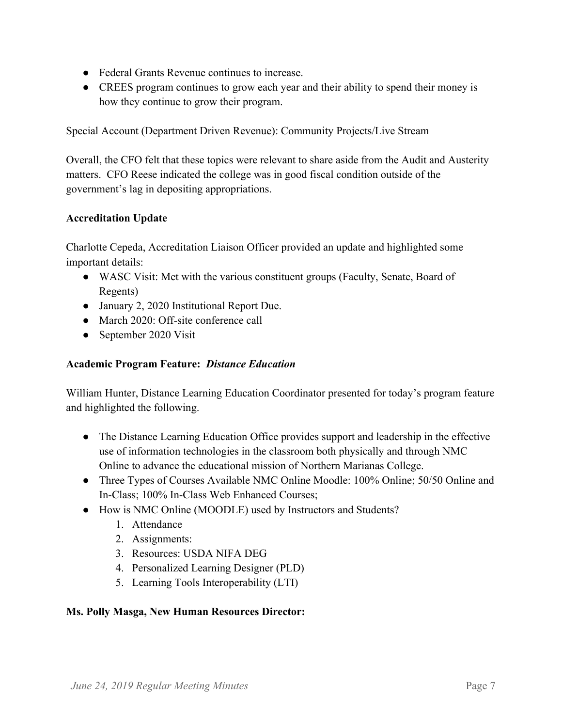- Federal Grants Revenue continues to increase.
- CREES program continues to grow each year and their ability to spend their money is how they continue to grow their program.

Special Account (Department Driven Revenue): Community Projects/Live Stream

Overall, the CFO felt that these topics were relevant to share aside from the Audit and Austerity matters. CFO Reese indicated the college was in good fiscal condition outside of the government's lag in depositing appropriations.

# **Accreditation Update**

Charlotte Cepeda, Accreditation Liaison Officer provided an update and highlighted some important details:

- WASC Visit: Met with the various constituent groups (Faculty, Senate, Board of Regents)
- January 2, 2020 Institutional Report Due.
- March 2020: Off-site conference call
- September 2020 Visit

# **Academic Program Feature:** *Distance Education*

William Hunter, Distance Learning Education Coordinator presented for today's program feature and highlighted the following.

- The Distance Learning Education Office provides support and leadership in the effective use of information technologies in the classroom both physically and through NMC Online to advance the educational mission of Northern Marianas College.
- Three Types of Courses Available NMC Online Moodle: 100% Online; 50/50 Online and In-Class; 100% In-Class Web Enhanced Courses;
- How is NMC Online (MOODLE) used by Instructors and Students?
	- 1. Attendance
	- 2. Assignments:
	- 3. Resources: USDA NIFA DEG
	- 4. Personalized Learning Designer (PLD)
	- 5. Learning Tools Interoperability (LTI)

# **Ms. Polly Masga, New Human Resources Director:**